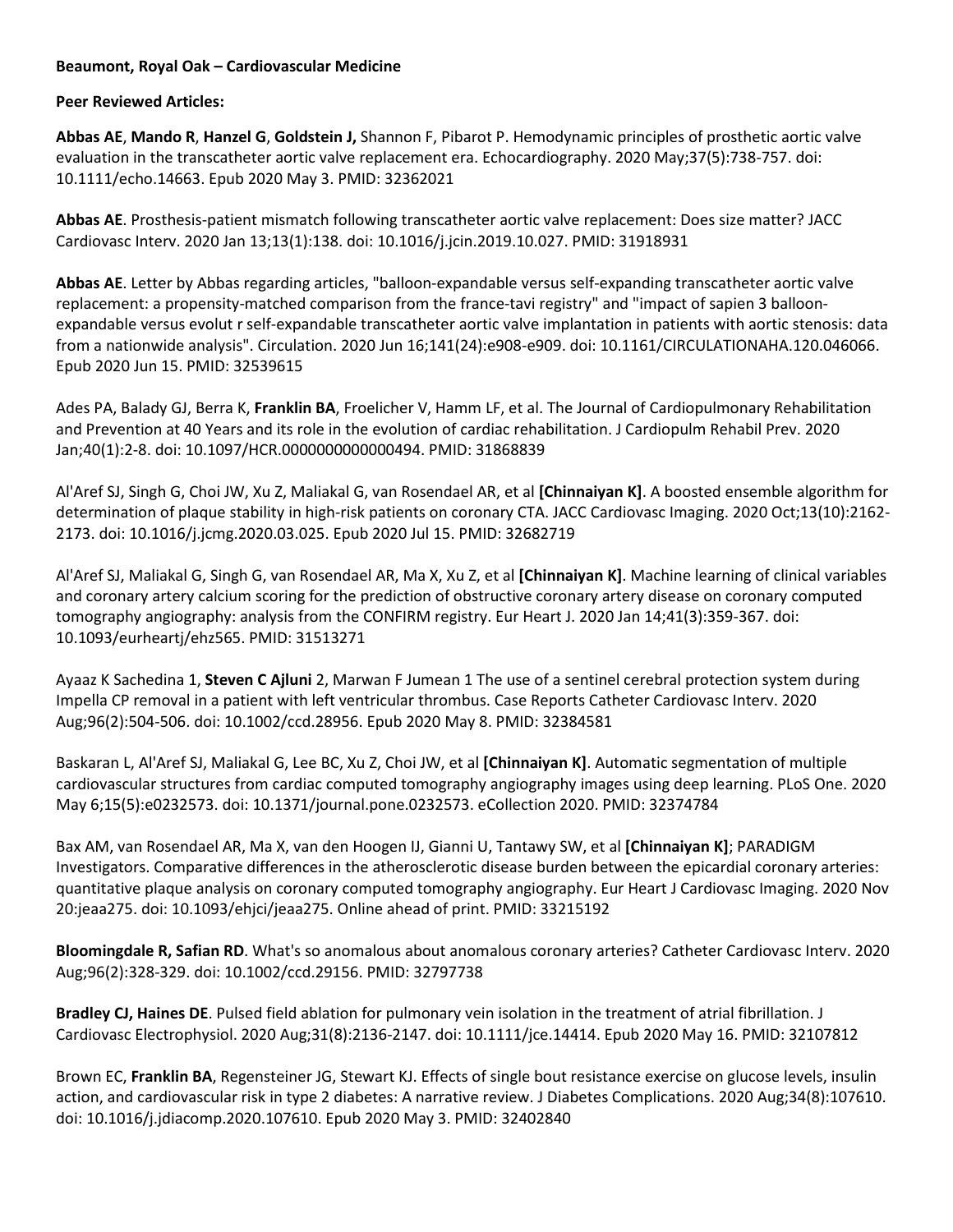## **Beaumont, Royal Oak – Cardiovascular Medicine**

**Peer Reviewed Articles:** 

**Abbas AE**, **Mando R**, **Hanzel G**, **Goldstein J,** Shannon F, Pibarot P. Hemodynamic principles of prosthetic aortic valve evaluation in the transcatheter aortic valve replacement era. Echocardiography. 2020 May;37(5):738-757. doi: 10.1111/echo.14663. Epub 2020 May 3. PMID: 32362021

**Abbas AE**. Prosthesis-patient mismatch following transcatheter aortic valve replacement: Does size matter? JACC Cardiovasc Interv. 2020 Jan 13;13(1):138. doi: 10.1016/j.jcin.2019.10.027. PMID: 31918931

**Abbas AE**. Letter by Abbas regarding articles, "balloon-expandable versus self-expanding transcatheter aortic valve replacement: a propensity-matched comparison from the france-tavi registry" and "impact of sapien 3 balloonexpandable versus evolut r self-expandable transcatheter aortic valve implantation in patients with aortic stenosis: data from a nationwide analysis". Circulation. 2020 Jun 16;141(24):e908-e909. doi: 10.1161/CIRCULATIONAHA.120.046066. Epub 2020 Jun 15. PMID: 32539615

Ades PA, Balady GJ, Berra K, **Franklin BA**, Froelicher V, Hamm LF, et al. The Journal of Cardiopulmonary Rehabilitation and Prevention at 40 Years and its role in the evolution of cardiac rehabilitation. J Cardiopulm Rehabil Prev. 2020 Jan;40(1):2-8. doi: 10.1097/HCR.0000000000000494. PMID: 31868839

Al'Aref SJ, Singh G, Choi JW, Xu Z, Maliakal G, van Rosendael AR, et al **[Chinnaiyan K]**. A boosted ensemble algorithm for determination of plaque stability in high-risk patients on coronary CTA. JACC Cardiovasc Imaging. 2020 Oct;13(10):2162- 2173. doi: 10.1016/j.jcmg.2020.03.025. Epub 2020 Jul 15. PMID: 32682719

Al'Aref SJ, Maliakal G, Singh G, van Rosendael AR, Ma X, Xu Z, et al **[Chinnaiyan K]**. Machine learning of clinical variables and coronary artery calcium scoring for the prediction of obstructive coronary artery disease on coronary computed tomography angiography: analysis from the CONFIRM registry. Eur Heart J. 2020 Jan 14;41(3):359-367. doi: 10.1093/eurheartj/ehz565. PMID: 31513271

Ayaaz K Sachedina 1, **Steven C Ajluni** 2, Marwan F Jumean 1 The use of a sentinel cerebral protection system during Impella CP removal in a patient with left ventricular thrombus. Case Reports Catheter Cardiovasc Interv. 2020 Aug;96(2):504-506. doi: 10.1002/ccd.28956. Epub 2020 May 8. PMID: 32384581

Baskaran L, Al'Aref SJ, Maliakal G, Lee BC, Xu Z, Choi JW, et al **[Chinnaiyan K]**. Automatic segmentation of multiple cardiovascular structures from cardiac computed tomography angiography images using deep learning. PLoS One. 2020 May 6;15(5):e0232573. doi: 10.1371/journal.pone.0232573. eCollection 2020. PMID: 32374784

Bax AM, van Rosendael AR, Ma X, van den Hoogen IJ, Gianni U, Tantawy SW, et al **[Chinnaiyan K]**; PARADIGM Investigators. Comparative differences in the atherosclerotic disease burden between the epicardial coronary arteries: quantitative plaque analysis on coronary computed tomography angiography. Eur Heart J Cardiovasc Imaging. 2020 Nov 20:jeaa275. doi: 10.1093/ehjci/jeaa275. Online ahead of print. PMID: 33215192

**Bloomingdale R, Safian RD**. What's so anomalous about anomalous coronary arteries? Catheter Cardiovasc Interv. 2020 Aug;96(2):328-329. doi: 10.1002/ccd.29156. PMID: 32797738

**Bradley CJ, Haines DE**. Pulsed field ablation for pulmonary vein isolation in the treatment of atrial fibrillation. J Cardiovasc Electrophysiol. 2020 Aug;31(8):2136-2147. doi: 10.1111/jce.14414. Epub 2020 May 16. PMID: 32107812

Brown EC, **Franklin BA**, Regensteiner JG, Stewart KJ. Effects of single bout resistance exercise on glucose levels, insulin action, and cardiovascular risk in type 2 diabetes: A narrative review. J Diabetes Complications. 2020 Aug;34(8):107610. doi: 10.1016/j.jdiacomp.2020.107610. Epub 2020 May 3. PMID: 32402840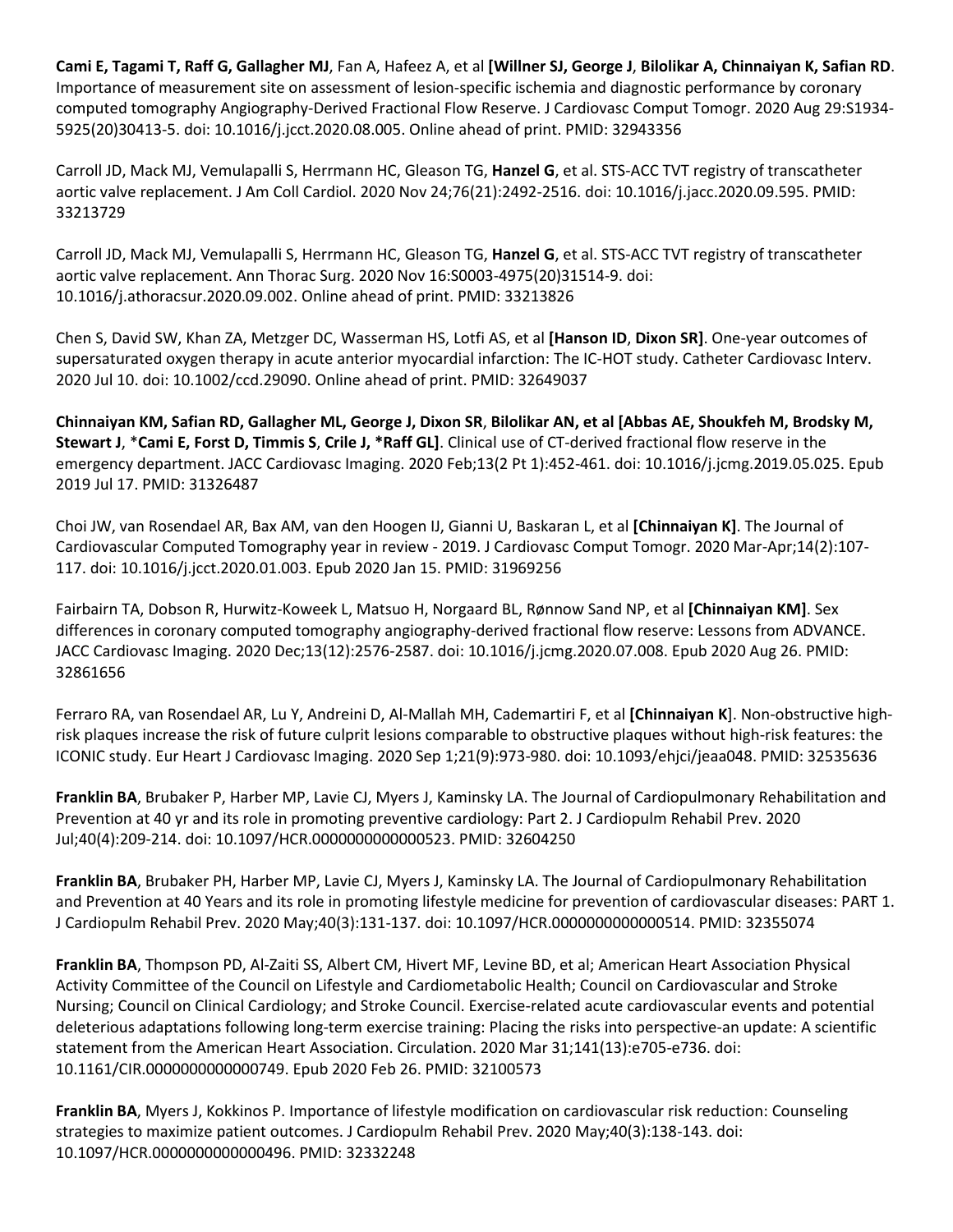**Cami E, Tagami T, Raff G, Gallagher MJ**, Fan A, Hafeez A, et al **[Willner SJ, George J**, **Bilolikar A, Chinnaiyan K, Safian RD**. Importance of measurement site on assessment of lesion-specific ischemia and diagnostic performance by coronary computed tomography Angiography-Derived Fractional Flow Reserve. J Cardiovasc Comput Tomogr. 2020 Aug 29:S1934- 5925(20)30413-5. doi: 10.1016/j.jcct.2020.08.005. Online ahead of print. PMID: 32943356

Carroll JD, Mack MJ, Vemulapalli S, Herrmann HC, Gleason TG, **Hanzel G**, et al. STS-ACC TVT registry of transcatheter aortic valve replacement. J Am Coll Cardiol. 2020 Nov 24;76(21):2492-2516. doi: 10.1016/j.jacc.2020.09.595. PMID: 33213729

Carroll JD, Mack MJ, Vemulapalli S, Herrmann HC, Gleason TG, **Hanzel G**, et al. STS-ACC TVT registry of transcatheter aortic valve replacement. Ann Thorac Surg. 2020 Nov 16:S0003-4975(20)31514-9. doi: 10.1016/j.athoracsur.2020.09.002. Online ahead of print. PMID: 33213826

Chen S, David SW, Khan ZA, Metzger DC, Wasserman HS, Lotfi AS, et al **[Hanson ID**, **Dixon SR]**. One-year outcomes of supersaturated oxygen therapy in acute anterior myocardial infarction: The IC-HOT study. Catheter Cardiovasc Interv. 2020 Jul 10. doi: 10.1002/ccd.29090. Online ahead of print. PMID: 32649037

**Chinnaiyan KM, Safian RD, Gallagher ML, George J, Dixon SR**, **Bilolikar AN, et al [Abbas AE, Shoukfeh M, Brodsky M, Stewart J**, \***Cami E, Forst D, Timmis S**, **Crile J, \*Raff GL]**. Clinical use of CT-derived fractional flow reserve in the emergency department. JACC Cardiovasc Imaging. 2020 Feb;13(2 Pt 1):452-461. doi: 10.1016/j.jcmg.2019.05.025. Epub 2019 Jul 17. PMID: 31326487

Choi JW, van Rosendael AR, Bax AM, van den Hoogen IJ, Gianni U, Baskaran L, et al **[Chinnaiyan K]**. The Journal of Cardiovascular Computed Tomography year in review - 2019. J Cardiovasc Comput Tomogr. 2020 Mar-Apr;14(2):107- 117. doi: 10.1016/j.jcct.2020.01.003. Epub 2020 Jan 15. PMID: 31969256

Fairbairn TA, Dobson R, Hurwitz-Koweek L, Matsuo H, Norgaard BL, Rønnow Sand NP, et al **[Chinnaiyan KM]**. Sex differences in coronary computed tomography angiography-derived fractional flow reserve: Lessons from ADVANCE. JACC Cardiovasc Imaging. 2020 Dec;13(12):2576-2587. doi: 10.1016/j.jcmg.2020.07.008. Epub 2020 Aug 26. PMID: 32861656

Ferraro RA, van Rosendael AR, Lu Y, Andreini D, Al-Mallah MH, Cademartiri F, et al **[Chinnaiyan K**]. Non-obstructive highrisk plaques increase the risk of future culprit lesions comparable to obstructive plaques without high-risk features: the ICONIC study. Eur Heart J Cardiovasc Imaging. 2020 Sep 1;21(9):973-980. doi: 10.1093/ehjci/jeaa048. PMID: 32535636

**Franklin BA**, Brubaker P, Harber MP, Lavie CJ, Myers J, Kaminsky LA. The Journal of Cardiopulmonary Rehabilitation and Prevention at 40 yr and its role in promoting preventive cardiology: Part 2. J Cardiopulm Rehabil Prev. 2020 Jul;40(4):209-214. doi: 10.1097/HCR.0000000000000523. PMID: 32604250

**Franklin BA**, Brubaker PH, Harber MP, Lavie CJ, Myers J, Kaminsky LA. The Journal of Cardiopulmonary Rehabilitation and Prevention at 40 Years and its role in promoting lifestyle medicine for prevention of cardiovascular diseases: PART 1. J Cardiopulm Rehabil Prev. 2020 May;40(3):131-137. doi: 10.1097/HCR.0000000000000514. PMID: 32355074

**Franklin BA**, Thompson PD, Al-Zaiti SS, Albert CM, Hivert MF, Levine BD, et al; American Heart Association Physical Activity Committee of the Council on Lifestyle and Cardiometabolic Health; Council on Cardiovascular and Stroke Nursing; Council on Clinical Cardiology; and Stroke Council. Exercise-related acute cardiovascular events and potential deleterious adaptations following long-term exercise training: Placing the risks into perspective-an update: A scientific statement from the American Heart Association. Circulation. 2020 Mar 31;141(13):e705-e736. doi: 10.1161/CIR.0000000000000749. Epub 2020 Feb 26. PMID: 32100573

**Franklin BA**, Myers J, Kokkinos P. Importance of lifestyle modification on cardiovascular risk reduction: Counseling strategies to maximize patient outcomes. J Cardiopulm Rehabil Prev. 2020 May;40(3):138-143. doi: 10.1097/HCR.0000000000000496. PMID: 32332248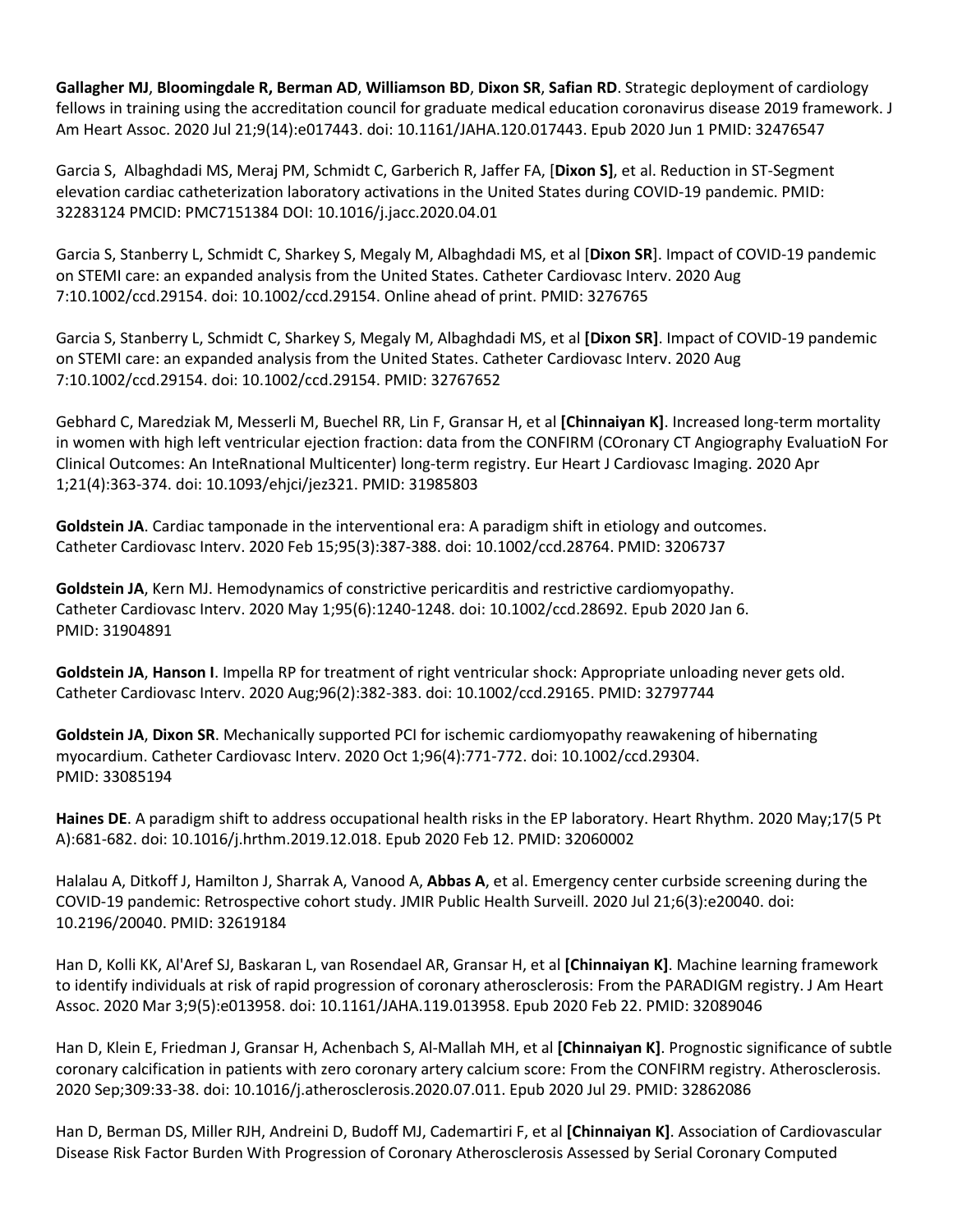**Gallagher MJ**, **Bloomingdale R, Berman AD**, **Williamson BD**, **Dixon SR**, **Safian RD**. Strategic deployment of cardiology fellows in training using the accreditation council for graduate medical education coronavirus disease 2019 framework. J Am Heart Assoc. 2020 Jul 21;9(14):e017443. doi: 10.1161/JAHA.120.017443. Epub 2020 Jun 1 PMID: 32476547

Garcia S, Albaghdadi MS, Meraj PM, Schmidt C, Garberich R, Jaffer FA, [**Dixon S]**, et al. Reduction in ST-Segment elevation cardiac catheterization laboratory activations in the United States during COVID-19 pandemic. PMID: 32283124 PMCID: PMC7151384 DOI: 10.1016/j.jacc.2020.04.01

Garcia S, Stanberry L, Schmidt C, Sharkey S, Megaly M, Albaghdadi MS, et al [**Dixon SR**]. Impact of COVID-19 pandemic on STEMI care: an expanded analysis from the United States. Catheter Cardiovasc Interv. 2020 Aug 7:10.1002/ccd.29154. doi: 10.1002/ccd.29154. Online ahead of print. PMID: 3276765

Garcia S, Stanberry L, Schmidt C, Sharkey S, Megaly M, Albaghdadi MS, et al **[Dixon SR]**. Impact of COVID-19 pandemic on STEMI care: an expanded analysis from the United States. Catheter Cardiovasc Interv. 2020 Aug 7:10.1002/ccd.29154. doi: 10.1002/ccd.29154. PMID: 32767652

Gebhard C, Maredziak M, Messerli M, Buechel RR, Lin F, Gransar H, et al **[Chinnaiyan K]**. Increased long-term mortality in women with high left ventricular ejection fraction: data from the CONFIRM (COronary CT Angiography EvaluatioN For Clinical Outcomes: An InteRnational Multicenter) long-term registry. Eur Heart J Cardiovasc Imaging. 2020 Apr 1;21(4):363-374. doi: 10.1093/ehjci/jez321. PMID: 31985803

**Goldstein JA**. Cardiac tamponade in the interventional era: A paradigm shift in etiology and outcomes. Catheter Cardiovasc Interv. 2020 Feb 15;95(3):387-388. doi: 10.1002/ccd.28764. PMID: 3206737

**Goldstein JA**, Kern MJ. Hemodynamics of constrictive pericarditis and restrictive cardiomyopathy. Catheter Cardiovasc Interv. 2020 May 1;95(6):1240-1248. doi: 10.1002/ccd.28692. Epub 2020 Jan 6. PMID: 31904891

**Goldstein JA**, **Hanson I**. Impella RP for treatment of right ventricular shock: Appropriate unloading never gets old. Catheter Cardiovasc Interv. 2020 Aug;96(2):382-383. doi: 10.1002/ccd.29165. PMID: 32797744

**Goldstein JA**, **Dixon SR**. Mechanically supported PCI for ischemic cardiomyopathy reawakening of hibernating myocardium. Catheter Cardiovasc Interv. 2020 Oct 1;96(4):771-772. doi: 10.1002/ccd.29304. PMID: 33085194

**Haines DE**. A paradigm shift to address occupational health risks in the EP laboratory. Heart Rhythm. 2020 May;17(5 Pt A):681-682. doi: 10.1016/j.hrthm.2019.12.018. Epub 2020 Feb 12. PMID: 32060002

Halalau A, Ditkoff J, Hamilton J, Sharrak A, Vanood A, **Abbas A**, et al. Emergency center curbside screening during the COVID-19 pandemic: Retrospective cohort study. JMIR Public Health Surveill. 2020 Jul 21;6(3):e20040. doi: 10.2196/20040. PMID: 32619184

Han D, Kolli KK, Al'Aref SJ, Baskaran L, van Rosendael AR, Gransar H, et al **[Chinnaiyan K]**. Machine learning framework to identify individuals at risk of rapid progression of coronary atherosclerosis: From the PARADIGM registry. J Am Heart Assoc. 2020 Mar 3;9(5):e013958. doi: 10.1161/JAHA.119.013958. Epub 2020 Feb 22. PMID: 32089046

Han D, Klein E, Friedman J, Gransar H, Achenbach S, Al-Mallah MH, et al **[Chinnaiyan K]**. Prognostic significance of subtle coronary calcification in patients with zero coronary artery calcium score: From the CONFIRM registry. Atherosclerosis. 2020 Sep;309:33-38. doi: 10.1016/j.atherosclerosis.2020.07.011. Epub 2020 Jul 29. PMID: 32862086

Han D, Berman DS, Miller RJH, Andreini D, Budoff MJ, Cademartiri F, et al **[Chinnaiyan K]**. Association of Cardiovascular Disease Risk Factor Burden With Progression of Coronary Atherosclerosis Assessed by Serial Coronary Computed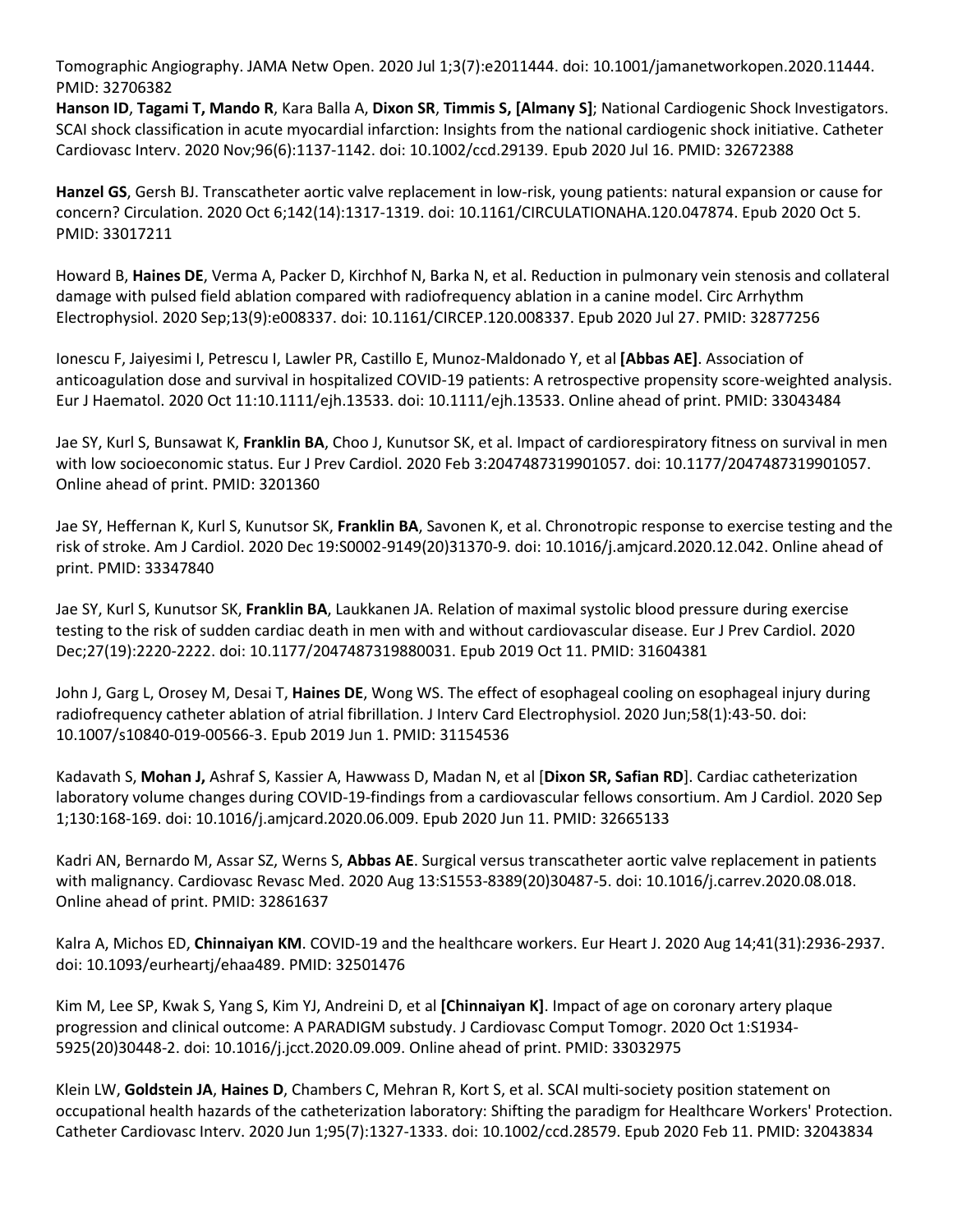Tomographic Angiography. JAMA Netw Open. 2020 Jul 1;3(7):e2011444. doi: 10.1001/jamanetworkopen.2020.11444. PMID: 32706382

**Hanson ID**, **Tagami T, Mando R**, Kara Balla A, **Dixon SR**, **Timmis S, [Almany S]**; National Cardiogenic Shock Investigators. SCAI shock classification in acute myocardial infarction: Insights from the national cardiogenic shock initiative. Catheter Cardiovasc Interv. 2020 Nov;96(6):1137-1142. doi: 10.1002/ccd.29139. Epub 2020 Jul 16. PMID: 32672388

**Hanzel GS**, Gersh BJ. Transcatheter aortic valve replacement in low-risk, young patients: natural expansion or cause for concern? Circulation. 2020 Oct 6;142(14):1317-1319. doi: 10.1161/CIRCULATIONAHA.120.047874. Epub 2020 Oct 5. PMID: 33017211

Howard B, **Haines DE**, Verma A, Packer D, Kirchhof N, Barka N, et al. Reduction in pulmonary vein stenosis and collateral damage with pulsed field ablation compared with radiofrequency ablation in a canine model. Circ Arrhythm Electrophysiol. 2020 Sep;13(9):e008337. doi: 10.1161/CIRCEP.120.008337. Epub 2020 Jul 27. PMID: 32877256

Ionescu F, Jaiyesimi I, Petrescu I, Lawler PR, Castillo E, Munoz-Maldonado Y, et al **[Abbas AE]**. Association of anticoagulation dose and survival in hospitalized COVID-19 patients: A retrospective propensity score-weighted analysis. Eur J Haematol. 2020 Oct 11:10.1111/ejh.13533. doi: 10.1111/ejh.13533. Online ahead of print. PMID: 33043484

Jae SY, Kurl S, Bunsawat K, **Franklin BA**, Choo J, Kunutsor SK, et al. Impact of cardiorespiratory fitness on survival in men with low socioeconomic status. Eur J Prev Cardiol. 2020 Feb 3:2047487319901057. doi: 10.1177/2047487319901057. Online ahead of print. PMID: 3201360

Jae SY, Heffernan K, Kurl S, Kunutsor SK, **Franklin BA**, Savonen K, et al. Chronotropic response to exercise testing and the risk of stroke. Am J Cardiol. 2020 Dec 19:S0002-9149(20)31370-9. doi: 10.1016/j.amjcard.2020.12.042. Online ahead of print. PMID: 33347840

Jae SY, Kurl S, Kunutsor SK, **Franklin BA**, Laukkanen JA. Relation of maximal systolic blood pressure during exercise testing to the risk of sudden cardiac death in men with and without cardiovascular disease. Eur J Prev Cardiol. 2020 Dec;27(19):2220-2222. doi: 10.1177/2047487319880031. Epub 2019 Oct 11. PMID: 31604381

John J, Garg L, Orosey M, Desai T, **Haines DE**, Wong WS. The effect of esophageal cooling on esophageal injury during radiofrequency catheter ablation of atrial fibrillation. J Interv Card Electrophysiol. 2020 Jun;58(1):43-50. doi: 10.1007/s10840-019-00566-3. Epub 2019 Jun 1. PMID: 31154536

Kadavath S, **Mohan J,** Ashraf S, Kassier A, Hawwass D, Madan N, et al [**Dixon SR, Safian RD**]. Cardiac catheterization laboratory volume changes during COVID-19-findings from a cardiovascular fellows consortium. Am J Cardiol. 2020 Sep 1;130:168-169. doi: 10.1016/j.amjcard.2020.06.009. Epub 2020 Jun 11. PMID: 32665133

Kadri AN, Bernardo M, Assar SZ, Werns S, **Abbas AE**. Surgical versus transcatheter aortic valve replacement in patients with malignancy. Cardiovasc Revasc Med. 2020 Aug 13:S1553-8389(20)30487-5. doi: 10.1016/j.carrev.2020.08.018. Online ahead of print. PMID: 32861637

Kalra A, Michos ED, **Chinnaiyan KM**. COVID-19 and the healthcare workers. Eur Heart J. 2020 Aug 14;41(31):2936-2937. doi: 10.1093/eurheartj/ehaa489. PMID: 32501476

Kim M, Lee SP, Kwak S, Yang S, Kim YJ, Andreini D, et al **[Chinnaiyan K]**. Impact of age on coronary artery plaque progression and clinical outcome: A PARADIGM substudy. J Cardiovasc Comput Tomogr. 2020 Oct 1:S1934- 5925(20)30448-2. doi: 10.1016/j.jcct.2020.09.009. Online ahead of print. PMID: 33032975

Klein LW, **Goldstein JA**, **Haines D**, Chambers C, Mehran R, Kort S, et al. SCAI multi-society position statement on occupational health hazards of the catheterization laboratory: Shifting the paradigm for Healthcare Workers' Protection. Catheter Cardiovasc Interv. 2020 Jun 1;95(7):1327-1333. doi: 10.1002/ccd.28579. Epub 2020 Feb 11. PMID: 32043834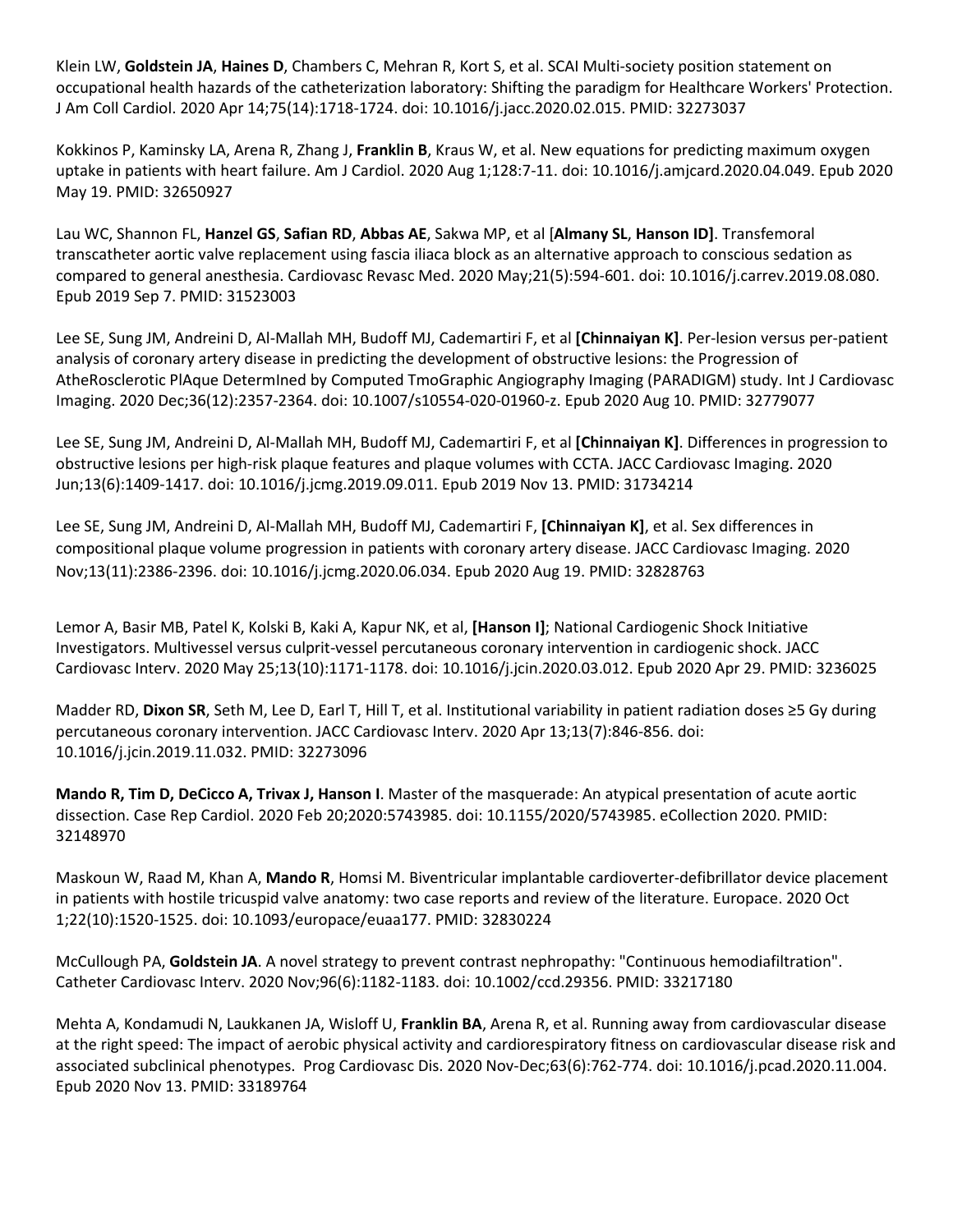Klein LW, **Goldstein JA**, **Haines D**, Chambers C, Mehran R, Kort S, et al. SCAI Multi-society position statement on occupational health hazards of the catheterization laboratory: Shifting the paradigm for Healthcare Workers' Protection. J Am Coll Cardiol. 2020 Apr 14;75(14):1718-1724. doi: 10.1016/j.jacc.2020.02.015. PMID: 32273037

Kokkinos P, Kaminsky LA, Arena R, Zhang J, **Franklin B**, Kraus W, et al. New equations for predicting maximum oxygen uptake in patients with heart failure. Am J Cardiol. 2020 Aug 1;128:7-11. doi: 10.1016/j.amjcard.2020.04.049. Epub 2020 May 19. PMID: 32650927

Lau WC, Shannon FL, **Hanzel GS**, **Safian RD**, **Abbas AE**, Sakwa MP, et al [**Almany SL**, **Hanson ID]**. Transfemoral transcatheter aortic valve replacement using fascia iliaca block as an alternative approach to conscious sedation as compared to general anesthesia. Cardiovasc Revasc Med. 2020 May;21(5):594-601. doi: 10.1016/j.carrev.2019.08.080. Epub 2019 Sep 7. PMID: 31523003

Lee SE, Sung JM, Andreini D, Al-Mallah MH, Budoff MJ, Cademartiri F, et al **[Chinnaiyan K]**. Per-lesion versus per-patient analysis of coronary artery disease in predicting the development of obstructive lesions: the Progression of AtheRosclerotic PlAque DetermIned by Computed TmoGraphic Angiography Imaging (PARADIGM) study. Int J Cardiovasc Imaging. 2020 Dec;36(12):2357-2364. doi: 10.1007/s10554-020-01960-z. Epub 2020 Aug 10. PMID: 32779077

Lee SE, Sung JM, Andreini D, Al-Mallah MH, Budoff MJ, Cademartiri F, et al **[Chinnaiyan K]**. Differences in progression to obstructive lesions per high-risk plaque features and plaque volumes with CCTA. JACC Cardiovasc Imaging. 2020 Jun;13(6):1409-1417. doi: 10.1016/j.jcmg.2019.09.011. Epub 2019 Nov 13. PMID: 31734214

Lee SE, Sung JM, Andreini D, Al-Mallah MH, Budoff MJ, Cademartiri F, **[Chinnaiyan K]**, et al. Sex differences in compositional plaque volume progression in patients with coronary artery disease. JACC Cardiovasc Imaging. 2020 Nov;13(11):2386-2396. doi: 10.1016/j.jcmg.2020.06.034. Epub 2020 Aug 19. PMID: 32828763

Lemor A, Basir MB, Patel K, Kolski B, Kaki A, Kapur NK, et al, **[Hanson I]**; National Cardiogenic Shock Initiative Investigators. Multivessel versus culprit-vessel percutaneous coronary intervention in cardiogenic shock. JACC Cardiovasc Interv. 2020 May 25;13(10):1171-1178. doi: 10.1016/j.jcin.2020.03.012. Epub 2020 Apr 29. PMID: 3236025

Madder RD, **Dixon SR**, Seth M, Lee D, Earl T, Hill T, et al. Institutional variability in patient radiation doses ≥5 Gy during percutaneous coronary intervention. JACC Cardiovasc Interv. 2020 Apr 13;13(7):846-856. doi: 10.1016/j.jcin.2019.11.032. PMID: 32273096

**Mando R, Tim D, DeCicco A, Trivax J, Hanson I**. Master of the masquerade: An atypical presentation of acute aortic dissection. Case Rep Cardiol. 2020 Feb 20;2020:5743985. doi: 10.1155/2020/5743985. eCollection 2020. PMID: 32148970

Maskoun W, Raad M, Khan A, **Mando R**, Homsi M. Biventricular implantable cardioverter-defibrillator device placement in patients with hostile tricuspid valve anatomy: two case reports and review of the literature. Europace. 2020 Oct 1;22(10):1520-1525. doi: 10.1093/europace/euaa177. PMID: 32830224

McCullough PA, **Goldstein JA**. A novel strategy to prevent contrast nephropathy: "Continuous hemodiafiltration". Catheter Cardiovasc Interv. 2020 Nov;96(6):1182-1183. doi: 10.1002/ccd.29356. PMID: 33217180

Mehta A, Kondamudi N, Laukkanen JA, Wisloff U, **Franklin BA**, Arena R, et al. Running away from cardiovascular disease at the right speed: The impact of aerobic physical activity and cardiorespiratory fitness on cardiovascular disease risk and associated subclinical phenotypes. Prog Cardiovasc Dis. 2020 Nov-Dec;63(6):762-774. doi: 10.1016/j.pcad.2020.11.004. Epub 2020 Nov 13. PMID: 33189764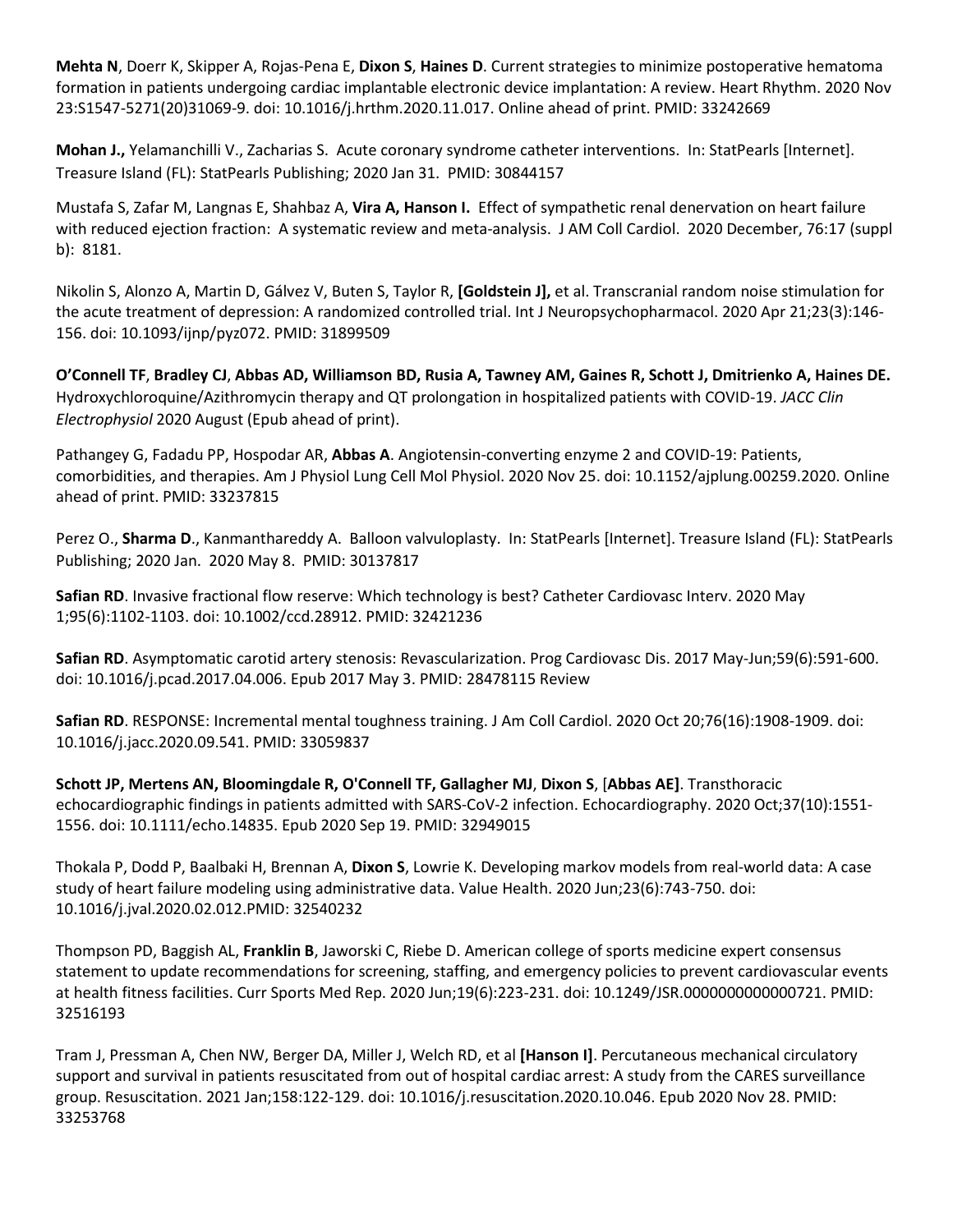**Mehta N**, Doerr K, Skipper A, Rojas-Pena E, **Dixon S**, **Haines D**. Current strategies to minimize postoperative hematoma formation in patients undergoing cardiac implantable electronic device implantation: A review. Heart Rhythm. 2020 Nov 23:S1547-5271(20)31069-9. doi: 10.1016/j.hrthm.2020.11.017. Online ahead of print. PMID: 33242669

**Mohan J.,** Yelamanchilli V., Zacharias S. Acute coronary syndrome catheter interventions. In: StatPearls [Internet]. Treasure Island (FL): StatPearls Publishing; 2020 Jan 31. PMID: 30844157

Mustafa S, Zafar M, Langnas E, Shahbaz A, **Vira A, Hanson I.** Effect of sympathetic renal denervation on heart failure with reduced ejection fraction: A systematic review and meta-analysis. J AM Coll Cardiol. 2020 December, 76:17 (suppl b): 8181.

Nikolin S, Alonzo A, Martin D, Gálvez V, Buten S, Taylor R, **[Goldstein J],** et al. Transcranial random noise stimulation for the acute treatment of depression: A randomized controlled trial. Int J Neuropsychopharmacol. 2020 Apr 21;23(3):146- 156. doi: 10.1093/ijnp/pyz072. PMID: 31899509

**O'Connell TF**, **Bradley CJ**, **Abbas AD, Williamson BD, Rusia A, Tawney AM, Gaines R, Schott J, Dmitrienko A, Haines DE.** Hydroxychloroquine/Azithromycin therapy and QT prolongation in hospitalized patients with COVID-19. *JACC Clin Electrophysiol* 2020 August (Epub ahead of print).

Pathangey G, Fadadu PP, Hospodar AR, **Abbas A**. Angiotensin-converting enzyme 2 and COVID-19: Patients, comorbidities, and therapies. Am J Physiol Lung Cell Mol Physiol. 2020 Nov 25. doi: 10.1152/ajplung.00259.2020. Online ahead of print. PMID: 33237815

Perez O., **Sharma D**., Kanmanthareddy A. Balloon valvuloplasty. In: StatPearls [Internet]. Treasure Island (FL): StatPearls Publishing; 2020 Jan. 2020 May 8. PMID: 30137817

**Safian RD**. Invasive fractional flow reserve: Which technology is best? Catheter Cardiovasc Interv. 2020 May 1;95(6):1102-1103. doi: 10.1002/ccd.28912. PMID: 32421236

**Safian RD**. Asymptomatic carotid artery stenosis: Revascularization. Prog Cardiovasc Dis. 2017 May-Jun;59(6):591-600. doi: 10.1016/j.pcad.2017.04.006. Epub 2017 May 3. PMID: 28478115 Review

**Safian RD**. RESPONSE: Incremental mental toughness training. J Am Coll Cardiol. 2020 Oct 20;76(16):1908-1909. doi: 10.1016/j.jacc.2020.09.541. PMID: 33059837

**Schott JP, Mertens AN, Bloomingdale R, O'Connell TF, Gallagher MJ**, **Dixon S**, [**Abbas AE]**. Transthoracic echocardiographic findings in patients admitted with SARS-CoV-2 infection. Echocardiography. 2020 Oct;37(10):1551- 1556. doi: 10.1111/echo.14835. Epub 2020 Sep 19. PMID: 32949015

Thokala P, Dodd P, Baalbaki H, Brennan A, **Dixon S**, Lowrie K. Developing markov models from real-world data: A case study of heart failure modeling using administrative data. Value Health. 2020 Jun;23(6):743-750. doi: 10.1016/j.jval.2020.02.012.PMID: 32540232

Thompson PD, Baggish AL, **Franklin B**, Jaworski C, Riebe D. American college of sports medicine expert consensus statement to update recommendations for screening, staffing, and emergency policies to prevent cardiovascular events at health fitness facilities. Curr Sports Med Rep. 2020 Jun;19(6):223-231. doi: 10.1249/JSR.0000000000000721. PMID: 32516193

Tram J, Pressman A, Chen NW, Berger DA, Miller J, Welch RD, et al **[Hanson I]**. Percutaneous mechanical circulatory support and survival in patients resuscitated from out of hospital cardiac arrest: A study from the CARES surveillance group. Resuscitation. 2021 Jan;158:122-129. doi: 10.1016/j.resuscitation.2020.10.046. Epub 2020 Nov 28. PMID: 33253768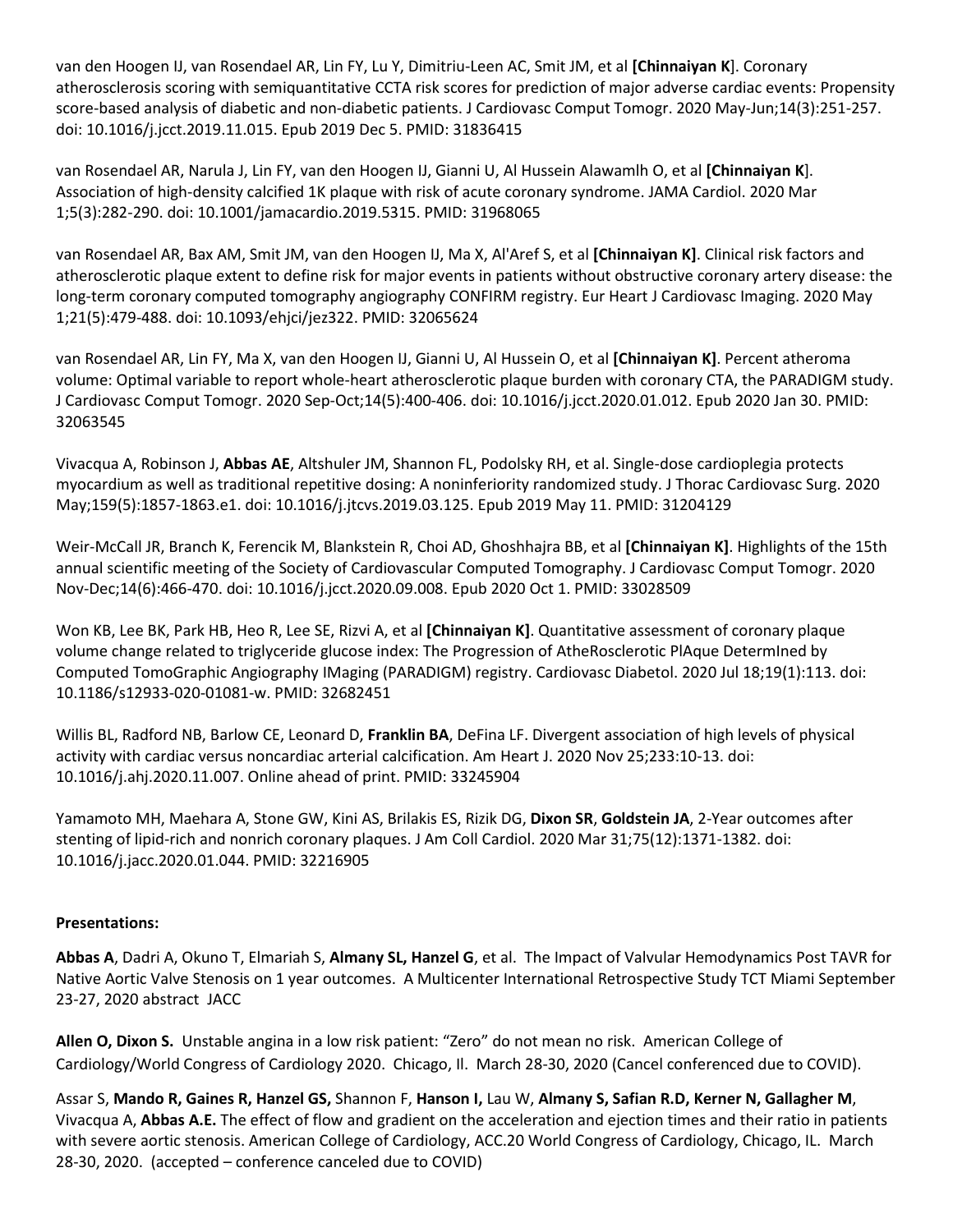van den Hoogen IJ, van Rosendael AR, Lin FY, Lu Y, Dimitriu-Leen AC, Smit JM, et al **[Chinnaiyan K**]. Coronary atherosclerosis scoring with semiquantitative CCTA risk scores for prediction of major adverse cardiac events: Propensity score-based analysis of diabetic and non-diabetic patients. J Cardiovasc Comput Tomogr. 2020 May-Jun;14(3):251-257. doi: 10.1016/j.jcct.2019.11.015. Epub 2019 Dec 5. PMID: 31836415

van Rosendael AR, Narula J, Lin FY, van den Hoogen IJ, Gianni U, Al Hussein Alawamlh O, et al **[Chinnaiyan K**]. Association of high-density calcified 1K plaque with risk of acute coronary syndrome. JAMA Cardiol. 2020 Mar 1;5(3):282-290. doi: 10.1001/jamacardio.2019.5315. PMID: 31968065

van Rosendael AR, Bax AM, Smit JM, van den Hoogen IJ, Ma X, Al'Aref S, et al **[Chinnaiyan K]**. Clinical risk factors and atherosclerotic plaque extent to define risk for major events in patients without obstructive coronary artery disease: the long-term coronary computed tomography angiography CONFIRM registry. Eur Heart J Cardiovasc Imaging. 2020 May 1;21(5):479-488. doi: 10.1093/ehjci/jez322. PMID: 32065624

van Rosendael AR, Lin FY, Ma X, van den Hoogen IJ, Gianni U, Al Hussein O, et al **[Chinnaiyan K]**. Percent atheroma volume: Optimal variable to report whole-heart atherosclerotic plaque burden with coronary CTA, the PARADIGM study. J Cardiovasc Comput Tomogr. 2020 Sep-Oct;14(5):400-406. doi: 10.1016/j.jcct.2020.01.012. Epub 2020 Jan 30. PMID: 32063545

Vivacqua A, Robinson J, **Abbas AE**, Altshuler JM, Shannon FL, Podolsky RH, et al. Single-dose cardioplegia protects myocardium as well as traditional repetitive dosing: A noninferiority randomized study. J Thorac Cardiovasc Surg. 2020 May;159(5):1857-1863.e1. doi: 10.1016/j.jtcvs.2019.03.125. Epub 2019 May 11. PMID: 31204129

Weir-McCall JR, Branch K, Ferencik M, Blankstein R, Choi AD, Ghoshhajra BB, et al **[Chinnaiyan K]**. Highlights of the 15th annual scientific meeting of the Society of Cardiovascular Computed Tomography. J Cardiovasc Comput Tomogr. 2020 Nov-Dec;14(6):466-470. doi: 10.1016/j.jcct.2020.09.008. Epub 2020 Oct 1. PMID: 33028509

Won KB, Lee BK, Park HB, Heo R, Lee SE, Rizvi A, et al **[Chinnaiyan K]**. Quantitative assessment of coronary plaque volume change related to triglyceride glucose index: The Progression of AtheRosclerotic PlAque DetermIned by Computed TomoGraphic Angiography IMaging (PARADIGM) registry. Cardiovasc Diabetol. 2020 Jul 18;19(1):113. doi: 10.1186/s12933-020-01081-w. PMID: 32682451

Willis BL, Radford NB, Barlow CE, Leonard D, **Franklin BA**, DeFina LF. Divergent association of high levels of physical activity with cardiac versus noncardiac arterial calcification. Am Heart J. 2020 Nov 25;233:10-13. doi: 10.1016/j.ahj.2020.11.007. Online ahead of print. PMID: 33245904

Yamamoto MH, Maehara A, Stone GW, Kini AS, Brilakis ES, Rizik DG, **Dixon SR**, **Goldstein JA**, 2-Year outcomes after stenting of lipid-rich and nonrich coronary plaques. J Am Coll Cardiol. 2020 Mar 31;75(12):1371-1382. doi: 10.1016/j.jacc.2020.01.044. PMID: 32216905

## **Presentations:**

**Abbas A**, Dadri A, Okuno T, Elmariah S, **Almany SL, Hanzel G**, et al. The Impact of Valvular Hemodynamics Post TAVR for Native Aortic Valve Stenosis on 1 year outcomes. A Multicenter International Retrospective Study TCT Miami September 23-27, 2020 abstract JACC

**Allen O, Dixon S.** Unstable angina in a low risk patient: "Zero" do not mean no risk. American College of Cardiology/World Congress of Cardiology 2020. Chicago, Il. March 28-30, 2020 (Cancel conferenced due to COVID).

Assar S, **Mando R, Gaines R, Hanzel GS,** Shannon F, **Hanson I,** Lau W, **Almany S, Safian R.D, Kerner N, Gallagher M**, Vivacqua A, **Abbas A.E.** The effect of flow and gradient on the acceleration and ejection times and their ratio in patients with severe aortic stenosis. American College of Cardiology, ACC.20 World Congress of Cardiology, Chicago, IL. March 28-30, 2020. (accepted – conference canceled due to COVID)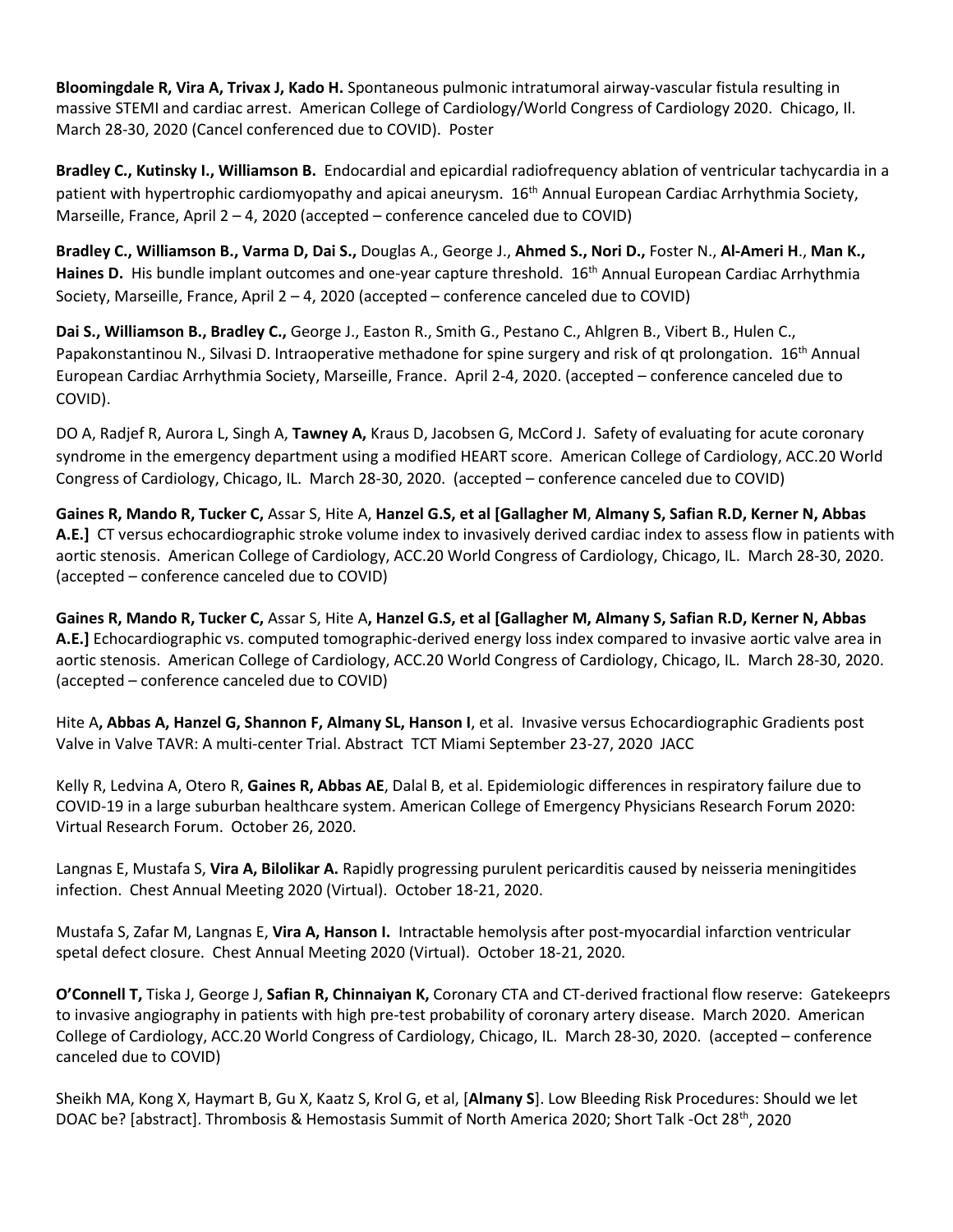**Bloomingdale R, Vira A, Trivax J, Kado H.** Spontaneous pulmonic intratumoral airway-vascular fistula resulting in massive STEMI and cardiac arrest. American College of Cardiology/World Congress of Cardiology 2020. Chicago, Il. March 28-30, 2020 (Cancel conferenced due to COVID). Poster

**Bradley C., Kutinsky I., Williamson B.** Endocardial and epicardial radiofrequency ablation of ventricular tachycardia in a patient with hypertrophic cardiomyopathy and apicai aneurysm. 16<sup>th</sup> Annual European Cardiac Arrhythmia Society, Marseille, France, April 2 – 4, 2020 (accepted – conference canceled due to COVID)

**Bradley C., Williamson B., Varma D, Dai S.,** Douglas A., George J., **Ahmed S., Nori D.,** Foster N., **Al-Ameri H**., **Man K.,** Haines D. His bundle implant outcomes and one-year capture threshold. 16<sup>th</sup> Annual European Cardiac Arrhythmia Society, Marseille, France, April 2 – 4, 2020 (accepted – conference canceled due to COVID)

**Dai S., Williamson B., Bradley C.,** George J., Easton R., Smith G., Pestano C., Ahlgren B., Vibert B., Hulen C., Papakonstantinou N., Silvasi D. Intraoperative methadone for spine surgery and risk of qt prolongation. 16<sup>th</sup> Annual European Cardiac Arrhythmia Society, Marseille, France. April 2-4, 2020. (accepted – conference canceled due to COVID).

DO A, Radjef R, Aurora L, Singh A, **Tawney A,** Kraus D, Jacobsen G, McCord J. Safety of evaluating for acute coronary syndrome in the emergency department using a modified HEART score. American College of Cardiology, ACC.20 World Congress of Cardiology, Chicago, IL. March 28-30, 2020. (accepted – conference canceled due to COVID)

**Gaines R, Mando R, Tucker C,** Assar S, Hite A, **Hanzel G.S, et al [Gallagher M**, **Almany S, Safian R.D, Kerner N, Abbas A.E.]** CT versus echocardiographic stroke volume index to invasively derived cardiac index to assess flow in patients with aortic stenosis. American College of Cardiology, ACC.20 World Congress of Cardiology, Chicago, IL. March 28-30, 2020. (accepted – conference canceled due to COVID)

**Gaines R, Mando R, Tucker C,** Assar S, Hite A**, Hanzel G.S, et al [Gallagher M, Almany S, Safian R.D, Kerner N, Abbas A.E.]** Echocardiographic vs. computed tomographic-derived energy loss index compared to invasive aortic valve area in aortic stenosis. American College of Cardiology, ACC.20 World Congress of Cardiology, Chicago, IL. March 28-30, 2020. (accepted – conference canceled due to COVID)

Hite A**, Abbas A, Hanzel G, Shannon F, Almany SL, Hanson I**, et al. Invasive versus Echocardiographic Gradients post Valve in Valve TAVR: A multi-center Trial. Abstract TCT Miami September 23-27, 2020 JACC

Kelly R, Ledvina A, Otero R, **Gaines R, Abbas AE**, Dalal B, et al. Epidemiologic differences in respiratory failure due to COVID-19 in a large suburban healthcare system. American College of Emergency Physicians Research Forum 2020: Virtual Research Forum. October 26, 2020.

Langnas E, Mustafa S, **Vira A, Bilolikar A.** Rapidly progressing purulent pericarditis caused by neisseria meningitides infection. Chest Annual Meeting 2020 (Virtual). October 18-21, 2020.

Mustafa S, Zafar M, Langnas E, **Vira A, Hanson I.** Intractable hemolysis after post-myocardial infarction ventricular spetal defect closure. Chest Annual Meeting 2020 (Virtual). October 18-21, 2020.

**O'Connell T,** Tiska J, George J, **Safian R, Chinnaiyan K,** Coronary CTA and CT-derived fractional flow reserve: Gatekeeprs to invasive angiography in patients with high pre-test probability of coronary artery disease. March 2020. American College of Cardiology, ACC.20 World Congress of Cardiology, Chicago, IL. March 28-30, 2020. (accepted – conference canceled due to COVID)

Sheikh MA, Kong X, Haymart B, Gu X, Kaatz S, Krol G, et al, [**Almany S**]. Low Bleeding Risk Procedures: Should we let DOAC be? [abstract]. Thrombosis & Hemostasis Summit of North America 2020; Short Talk -Oct 28<sup>th</sup>, 2020